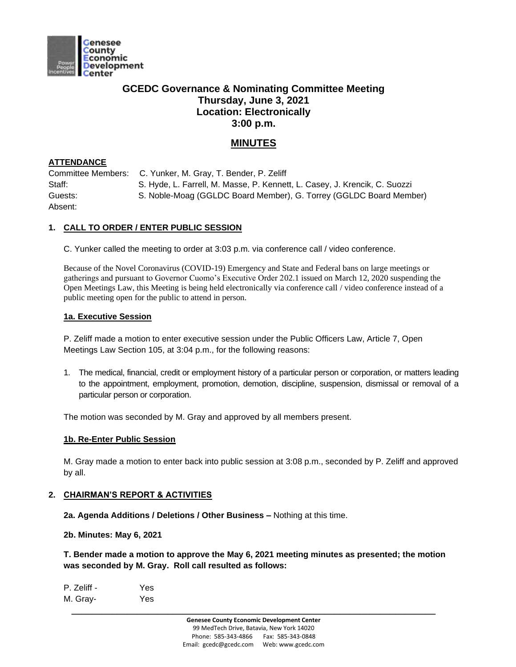

# **GCEDC Governance & Nominating Committee Meeting Thursday, June 3, 2021 Location: Electronically 3:00 p.m.**

# **MINUTES**

## **ATTENDANCE**

Committee Members: C. Yunker, M. Gray, T. Bender, P. Zeliff Staff: S. Hyde, L. Farrell, M. Masse, P. Kennett, L. Casey, J. Krencik, C. Suozzi Guests: S. Noble-Moag (GGLDC Board Member), G. Torrey (GGLDC Board Member) Absent:

# **1. CALL TO ORDER / ENTER PUBLIC SESSION**

C. Yunker called the meeting to order at 3:03 p.m. via conference call / video conference.

Because of the Novel Coronavirus (COVID-19) Emergency and State and Federal bans on large meetings or gatherings and pursuant to Governor Cuomo's Executive Order 202.1 issued on March 12, 2020 suspending the Open Meetings Law, this Meeting is being held electronically via conference call / video conference instead of a public meeting open for the public to attend in person.

### **1a. Executive Session**

P. Zeliff made a motion to enter executive session under the Public Officers Law, Article 7, Open Meetings Law Section 105, at 3:04 p.m., for the following reasons:

1. The medical, financial, credit or employment history of a particular person or corporation, or matters leading to the appointment, employment, promotion, demotion, discipline, suspension, dismissal or removal of a particular person or corporation.

The motion was seconded by M. Gray and approved by all members present.

## **1b. Re-Enter Public Session**

M. Gray made a motion to enter back into public session at 3:08 p.m., seconded by P. Zeliff and approved by all.

## **2. CHAIRMAN'S REPORT & ACTIVITIES**

**2a. Agenda Additions / Deletions / Other Business –** Nothing at this time.

**2b. Minutes: May 6, 2021**

**T. Bender made a motion to approve the May 6, 2021 meeting minutes as presented; the motion was seconded by M. Gray. Roll call resulted as follows:**

| P. Zeliff - | Yes |
|-------------|-----|
| M. Gray-    | Yes |
|             |     |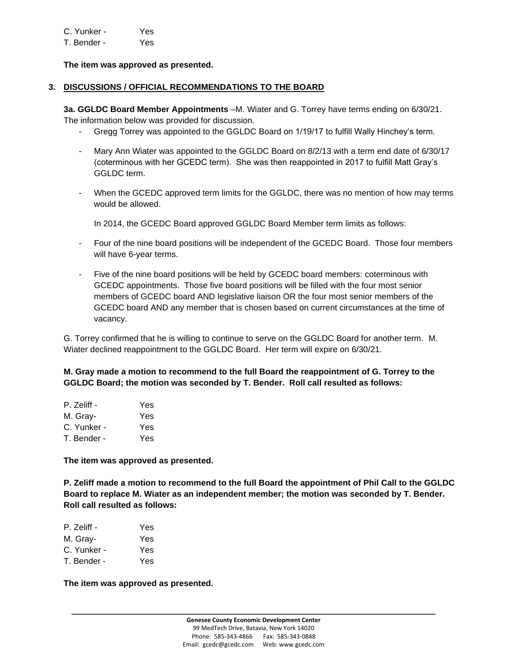| C. Yunker - | Yes |
|-------------|-----|
| T. Bender - | Yes |

### **The item was approved as presented.**

### **3. DISCUSSIONS / OFFICIAL RECOMMENDATIONS TO THE BOARD**

**3a. GGLDC Board Member Appointments** –M. Wiater and G. Torrey have terms ending on 6/30/21. The information below was provided for discussion.

- Gregg Torrey was appointed to the GGLDC Board on 1/19/17 to fulfill Wally Hinchey's term.
- Mary Ann Wiater was appointed to the GGLDC Board on 8/2/13 with a term end date of 6/30/17 (coterminous with her GCEDC term). She was then reappointed in 2017 to fulfill Matt Gray's GGLDC term.
- When the GCEDC approved term limits for the GGLDC, there was no mention of how may terms would be allowed.

In 2014, the GCEDC Board approved GGLDC Board Member term limits as follows:

- Four of the nine board positions will be independent of the GCEDC Board. Those four members will have 6-year terms.
- Five of the nine board positions will be held by GCEDC board members: coterminous with GCEDC appointments. Those five board positions will be filled with the four most senior members of GCEDC board AND legislative liaison OR the four most senior members of the GCEDC board AND any member that is chosen based on current circumstances at the time of vacancy.

G. Torrey confirmed that he is willing to continue to serve on the GGLDC Board for another term. M. Wiater declined reappointment to the GGLDC Board. Her term will expire on 6/30/21.

# **M. Gray made a motion to recommend to the full Board the reappointment of G. Torrey to the GGLDC Board; the motion was seconded by T. Bender. Roll call resulted as follows:**

| P. Zeliff - | Yes |
|-------------|-----|
| M. Grav-    | Yes |
| C. Yunker - | Yes |
| T. Bender - | Yes |

**The item was approved as presented.** 

**P. Zeliff made a motion to recommend to the full Board the appointment of Phil Call to the GGLDC Board to replace M. Wiater as an independent member; the motion was seconded by T. Bender. Roll call resulted as follows:**

| P. Zeliff - | Yes |
|-------------|-----|
| M. Gray-    | Yes |
| C. Yunker - | Yes |
| T. Bender - | Yes |

**The item was approved as presented.** 

**\_\_\_\_\_\_\_\_\_\_\_\_\_\_\_\_\_\_\_\_\_\_\_\_\_\_\_\_\_\_\_\_\_\_\_\_\_\_\_\_\_\_\_\_\_\_\_\_\_\_\_\_\_\_\_\_\_\_\_\_\_\_\_\_\_\_\_\_\_\_\_\_**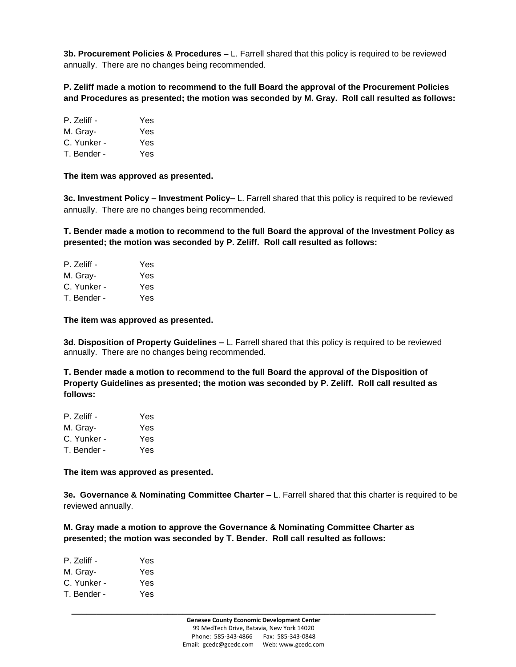**3b. Procurement Policies & Procedures –** L. Farrell shared that this policy is required to be reviewed annually. There are no changes being recommended.

**P. Zeliff made a motion to recommend to the full Board the approval of the Procurement Policies and Procedures as presented; the motion was seconded by M. Gray. Roll call resulted as follows:**

| P. Zeliff - | Yes |
|-------------|-----|
| M. Gray-    | Yes |
| C. Yunker - | Yes |
| T. Bender - | Yes |

**The item was approved as presented.** 

**3c. Investment Policy – Investment Policy–** L. Farrell shared that this policy is required to be reviewed annually. There are no changes being recommended.

**T. Bender made a motion to recommend to the full Board the approval of the Investment Policy as presented; the motion was seconded by P. Zeliff. Roll call resulted as follows:**

| P. Zeliff - | Yes |
|-------------|-----|
| M. Gray-    | Yes |
| C. Yunker - | Yes |
| T. Bender - | Yes |

**The item was approved as presented.** 

**3d. Disposition of Property Guidelines –** L. Farrell shared that this policy is required to be reviewed annually. There are no changes being recommended.

**T. Bender made a motion to recommend to the full Board the approval of the Disposition of Property Guidelines as presented; the motion was seconded by P. Zeliff. Roll call resulted as follows:**

| P. Zeliff - | Yes |
|-------------|-----|
| M. Gray-    | Yes |
| C. Yunker - | Yes |
| T. Bender - | Yes |

**The item was approved as presented.** 

**3e. Governance & Nominating Committee Charter –** L. Farrell shared that this charter is required to be reviewed annually.

**M. Gray made a motion to approve the Governance & Nominating Committee Charter as presented; the motion was seconded by T. Bender. Roll call resulted as follows:**

| P. Zeliff - | Yes |
|-------------|-----|
| M. Gray-    | Yes |
| C. Yunker - | Yes |
| T. Bender - | Yes |
|             |     |

**\_\_\_\_\_\_\_\_\_\_\_\_\_\_\_\_\_\_\_\_\_\_\_\_\_\_\_\_\_\_\_\_\_\_\_\_\_\_\_\_\_\_\_\_\_\_\_\_\_\_\_\_\_\_\_\_\_\_\_\_\_\_\_\_\_\_\_\_\_\_\_\_**